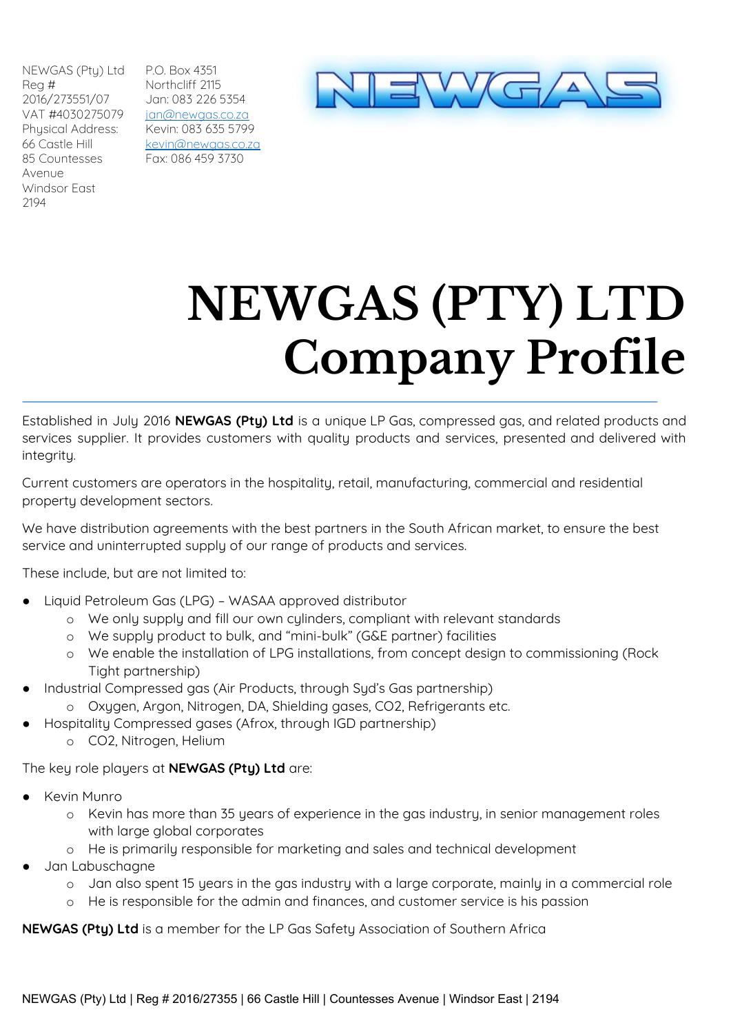NEWGAS (Pty) Ltd Reg # 2016/273551/07 VAT #4030275079 Physical Address: 66 Castle Hill 85 Countesses Avenue Windsor East 2194

P.O. Box 4351 Northcliff 2115 Jan: 083 226 5354 [jan@newgas.co.za](mailto:jan@newgas.co.za) Kevin: 083 635 5799 [kevin@newgas.co.za](mailto:kevin@newgas.co.za) Fax: 086 459 3730



## **NEWGAS (PTY) LTD Company Profile**

Established in July 2016 **NEWGAS (Pty) Ltd** is a unique LP Gas, compressed gas, and related products and services supplier. It provides customers with quality products and services, presented and delivered with integrity.

Current customers are operators in the hospitality, retail, manufacturing, commercial and residential property development sectors.

We have distribution agreements with the best partners in the South African market, to ensure the best service and uninterrupted supply of our range of products and services.

These include, but are not limited to:

- Liquid Petroleum Gas (LPG) WASAA approved distributor
	- o We only supply and fill our own cylinders, compliant with relevant standards
	- o We supply product to bulk, and "mini-bulk" (G&E partner) facilities
	- o We enable the installation of LPG installations, from concept design to commissioning (Rock Tight partnership)
- Industrial Compressed gas (Air Products, through Syd's Gas partnership)
	- o Oxygen, Argon, Nitrogen, DA, Shielding gases, CO2, Refrigerants etc.
- Hospitality Compressed gases (Afrox, through IGD partnership)
	- o CO2, Nitrogen, Helium

The key role players at **NEWGAS (Pty) Ltd** are:

- **Kevin Munro** 
	- o Kevin has more than 35 years of experience in the gas industry, in senior management roles with large global corporates
	- o He is primarily responsible for marketing and sales and technical development
- Jan Labuschagne
	- o Jan also spent 15 years in the gas industry with a large corporate, mainly in a commercial role
	- o He is responsible for the admin and finances, and customer service is his passion

**NEWGAS (Pty) Ltd** is a member for the LP Gas Safety Association of Southern Africa